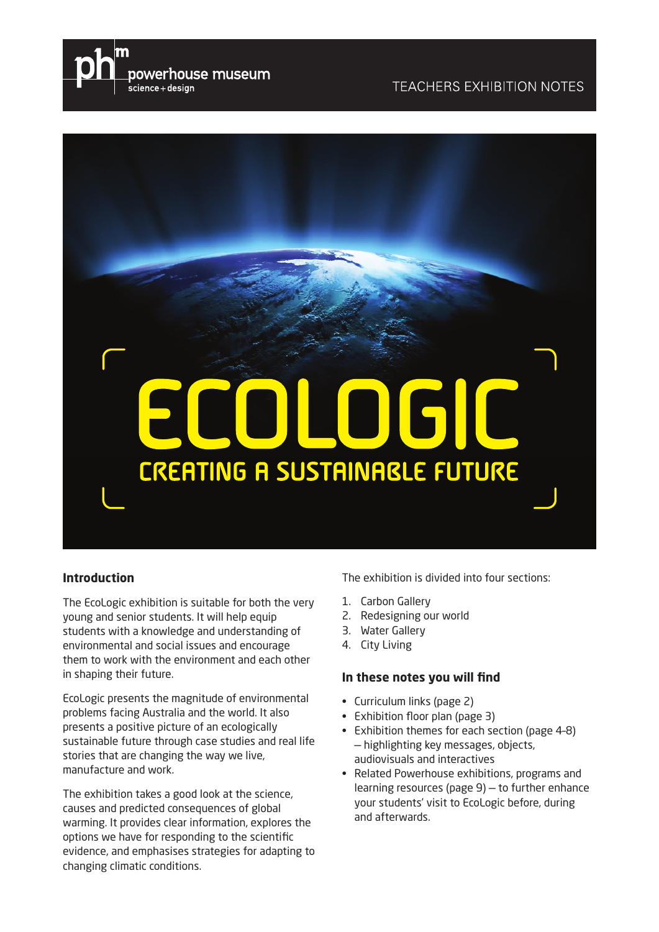



#### **Introduction**

The EcoLogic exhibition is suitable for both the very young and senior students. It will help equip students with a knowledge and understanding of environmental and social issues and encourage them to work with the environment and each other in shaping their future.

EcoLogic presents the magnitude of environmental problems facing Australia and the world. It also presents a positive picture of an ecologically sustainable future through case studies and real life stories that are changing the way we live, manufacture and work.

The exhibition takes a good look at the science, causes and predicted consequences of global warming. It provides clear information, explores the options we have for responding to the scientific evidence, and emphasises strategies for adapting to changing climatic conditions.

The exhibition is divided into four sections:

- 1. Carbon Gallery
- 2. Redesigning our world
- 3. Water Gallery
- 4. City Living

#### **In these notes you will find**

- Curriculum links (page 2)
- Exhibition floor plan (page 3)
- Exhibition themes for each section (page 4-8) — highlighting key messages, objects, audiovisuals and interactives
- Related Powerhouse exhibitions, programs and  $learning$  resources (page  $9$ )  $-$  to further enhance your students' visit to EcoLogic before, during and afterwards.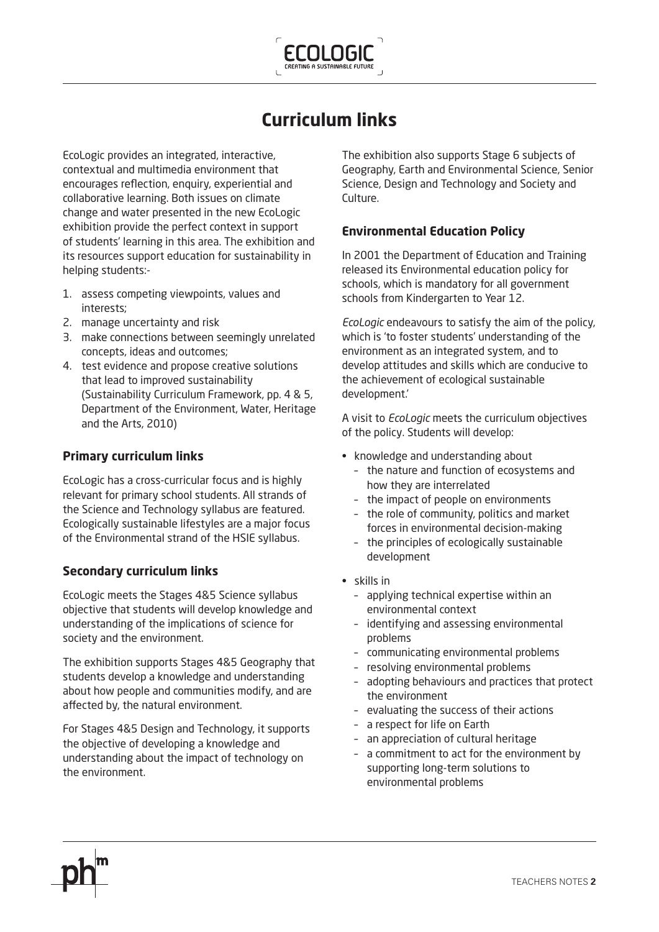

# **Curriculum links**

EcoLogic provides an integrated, interactive, contextual and multimedia environment that encourages reflection, enguiry, experiential and collaborative learning. Both issues on climate change and water presented in the new EcoLogic exhibition provide the perfect context in support of students' learning in this area. The exhibition and its resources support education for sustainability in helping students:-

- 1. assess competing viewpoints, values and interests;
- 2. manage uncertainty and risk
- 3. make connections between seemingly unrelated concepts, ideas and outcomes;
- 4. test evidence and propose creative solutions that lead to improved sustainability (Sustainability Curriculum Framework, pp. 4 & 5, Department of the Environment, Water, Heritage and the Arts, 2010)

### **Primary curriculum links**

EcoLogic has a cross-curricular focus and is highly relevant for primary school students. All strands of the Science and Technology syllabus are featured. Ecologically sustainable lifestyles are a major focus of the Environmental strand of the HSIE syllabus.

### **Secondary curriculum links**

EcoLogic meets the Stages 4&5 Science syllabus objective that students will develop knowledge and understanding of the implications of science for society and the environment.

The exhibition supports Stages 4&5 Geography that students develop a knowledge and understanding about how people and communities modify, and are affected by, the natural environment.

For Stages 4&5 Design and Technology, it supports the objective of developing a knowledge and understanding about the impact of technology on the environment.

The exhibition also supports Stage 6 subjects of Geography, Earth and Environmental Science, Senior Science, Design and Technology and Society and Culture.

### **Environmental Education Policy**

In 2001 the Department of Education and Training released its Environmental education policy for schools, which is mandatory for all government schools from Kindergarten to Year 12.

*EcoLogic* endeavours to satisfy the aim of the policy, which is 'to foster students' understanding of the environment as an integrated system, and to develop attitudes and skills which are conducive to the achievement of ecological sustainable development.'

A visit to *EcoLogic* meets the curriculum objectives of the policy. Students will develop:

- knowledge and understanding about
	- the nature and function of ecosystems and how they are interrelated
	- the impact of people on environments
	- the role of community, politics and market forces in environmental decision-making
	- the principles of ecologically sustainable development
- $\cdot$  skills in
	- applying technical expertise within an environmental context
	- identifying and assessing environmental problems
	- communicating environmental problems
	- resolving environmental problems
	- adopting behaviours and practices that protect the environment
	- evaluating the success of their actions
	- a respect for life on Earth
	- an appreciation of cultural heritage
	- a commitment to act for the environment by supporting long-term solutions to environmental problems

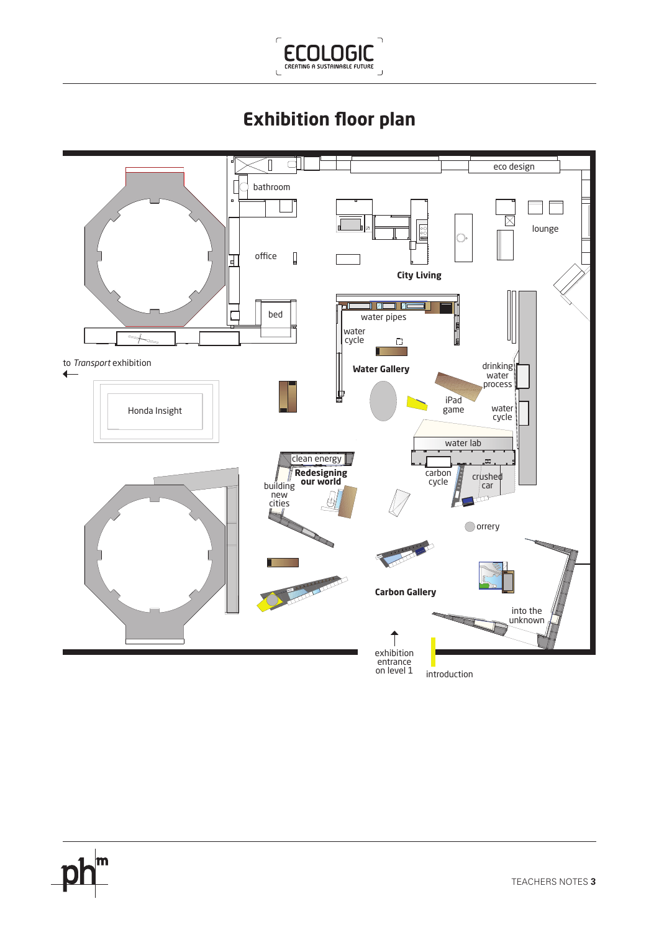

# **Exhibition floor plan**

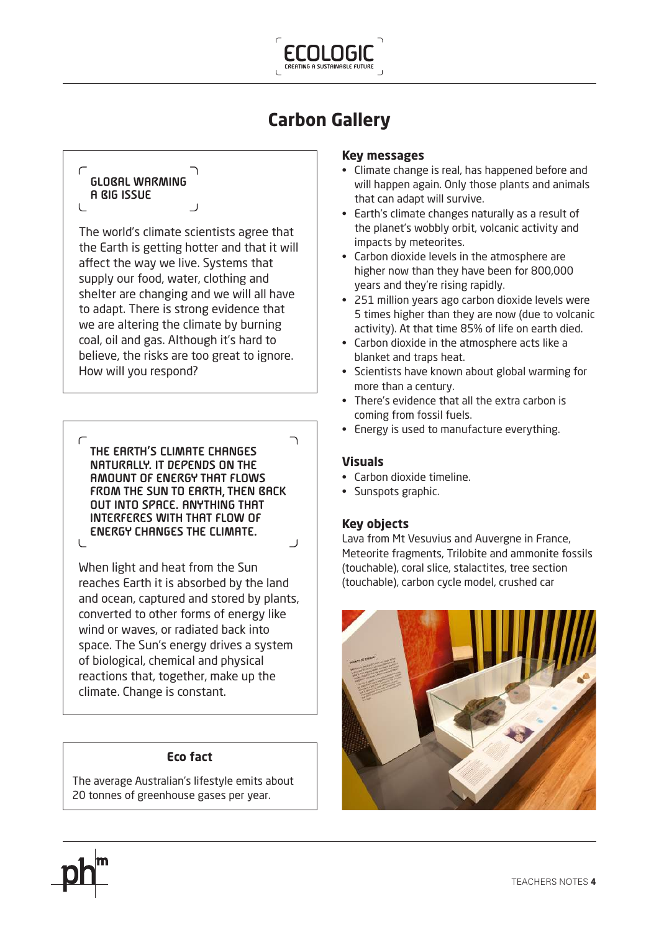

# **Carbon Gallery**

# **GLOBAL WARMING A BIG ISSUE**

The world's climate scientists agree that the Earth is getting hotter and that it will affect the way we live. Systems that supply our food, water, clothing and shelter are changing and we will all have to adapt. There is strong evidence that we are altering the climate by burning coal, oil and gas. Although it's hard to believe, the risks are too great to ignore. How will you respond?

**THE EARTH'S CLIMATE CHANGES NATURALLY. IT DEPENDS ON THE AMOUNT OF ENERGY THAT FLOWS FROM THE SUN TO EARTH, THEN BACK OUT INTO SPACE. ANYTHING THAT INTERFERES WITH THAT FLOW OF ENERGY CHANGES THE CLIMATE.** 

When light and heat from the Sun reaches Earth it is absorbed by the land and ocean, captured and stored by plants, converted to other forms of energy like wind or waves, or radiated back into space. The Sun's energy drives a system of biological, chemical and physical reactions that, together, make up the climate. Change is constant.

### **Eco fact**

The average Australian's lifestyle emits about 20 tonnes of greenhouse gases per year.

#### **Key messages**

- Climate change is real, has happened before and will happen again. Only those plants and animals that can adapt will survive.
- Earth's climate changes naturally as a result of the planet's wobbly orbit, volcanic activity and impacts by meteorites.
- Carbon dioxide levels in the atmosphere are higher now than they have been for 800,000 years and they're rising rapidly.
- 251 million years ago carbon dioxide levels were 5 times higher than they are now (due to volcanic activity). At that time 85% of life on earth died.
- Carbon dioxide in the atmosphere acts like a blanket and traps heat.
- Scientists have known about global warming for more than a century.
- There's evidence that all the extra carbon is coming from fossil fuels.
- Energy is used to manufacture everything.

#### **Visuals**

٦

 $\overline{\mathsf{r}}$ 

- Carbon dioxide timeline.
- Sunspots graphic.

#### **Key objects**

Lava from Mt Vesuvius and Auvergne in France, Meteorite fragments, Trilobite and ammonite fossils (touchable), coral slice, stalactites, tree section (touchable), carbon cycle model, crushed car





 $\cup$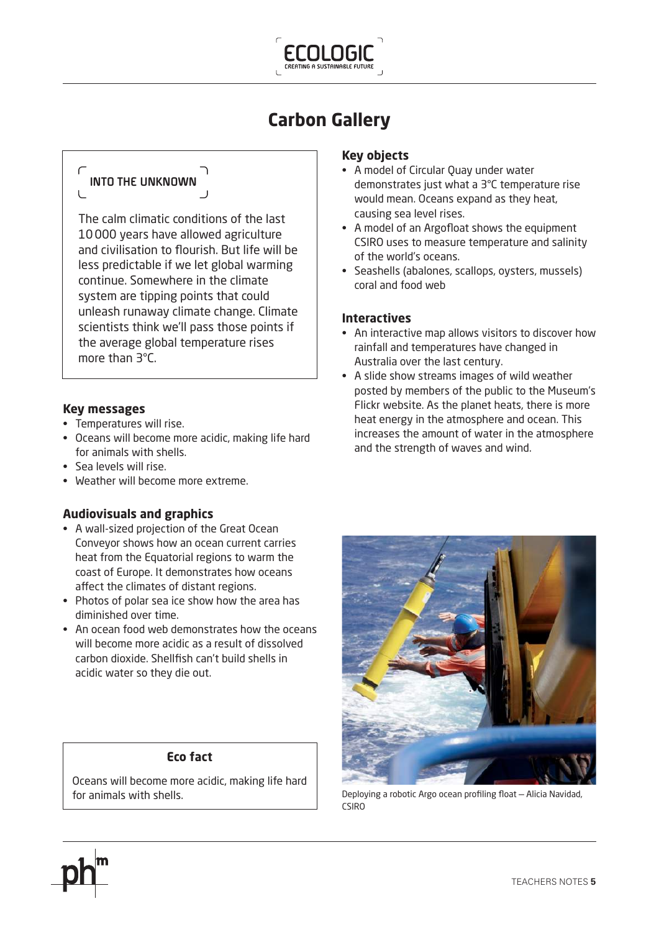

# **Carbon Gallery**

# **INTO THE UNKNOWN**

The calm climatic conditions of the last 10000 years have allowed agriculture and civilisation to flourish. But life will be less predictable if we let global warming continue. Somewhere in the climate system are tipping points that could unleash runaway climate change. Climate scientists think we'll pass those points if the average global temperature rises more than 3°C.

### **Key messages**

- Temperatures will rise.
- Oceans will become more acidic, making life hard for animals with shells.
- $\bullet$  Sea levels will rise.
- Weather will become more extreme.

### **Audiovisuals and graphics**

- A wall-sized projection of the Great Ocean Conveyor shows how an ocean current carries heat from the Equatorial regions to warm the coast of Europe. It demonstrates how oceans affect the climates of distant regions.
- Photos of polar sea ice show how the area has diminished over time.
- An ocean food web demonstrates how the oceans will become more acidic as a result of dissolved carbon dioxide. Shellfish can't build shells in acidic water so they die out.

#### **Eco fact**

Oceans will become more acidic, making life hard for animals with shells.

#### **Key objects**

- A model of Circular Quay under water demonstrates just what a 3°C temperature rise would mean. Oceans expand as they heat, causing sea level rises.
- A model of an Argofloat shows the equipment CSIRO uses to measure temperature and salinity of the world's oceans.
- Seashells (abalones, scallops, oysters, mussels) coral and food web

### **Interactives**

- An interactive map allows visitors to discover how rainfall and temperatures have changed in Australia over the last century.
- A slide show streams images of wild weather posted by members of the public to the Museum's Flickr website. As the planet heats, there is more heat energy in the atmosphere and ocean. This increases the amount of water in the atmosphere and the strength of waves and wind.



Deploying a robotic Argo ocean profiling float - Alicia Navidad,  $CSIRO$ 

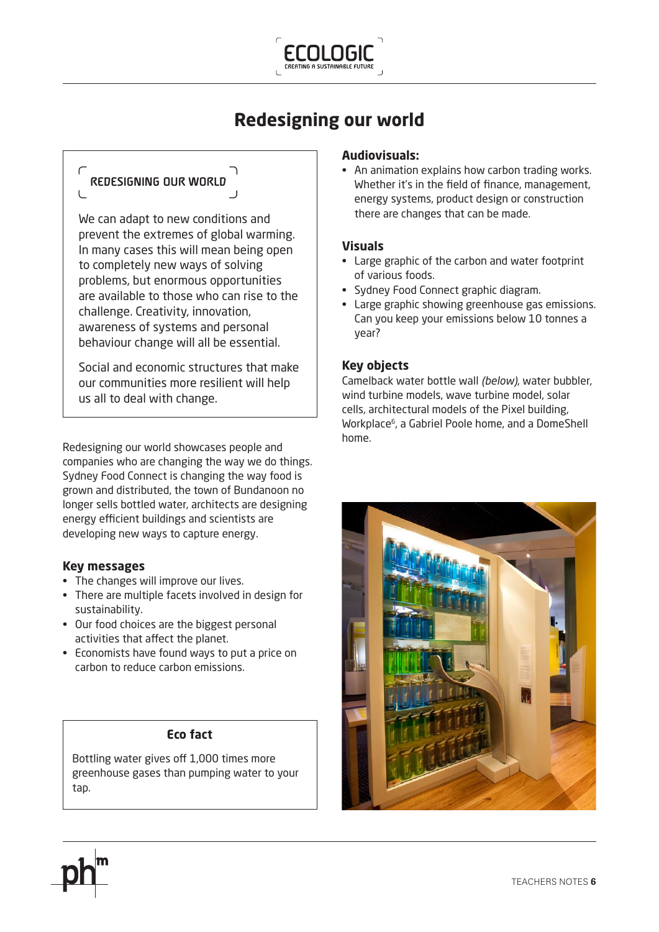

# **Redesigning our world**

# **REDESIGNING OUR WORLD**

We can adapt to new conditions and prevent the extremes of global warming. In many cases this will mean being open to completely new ways of solving problems, but enormous opportunities are available to those who can rise to the challenge. Creativity, innovation, awareness of systems and personal behaviour change will all be essential.

Social and economic structures that make our communities more resilient will help us all to deal with change.

Redesigning our world showcases people and companies who are changing the way we do things. Sydney Food Connect is changing the way food is grown and distributed, the town of Bundanoon no longer sells bottled water, architects are designing energy efficient buildings and scientists are developing new ways to capture energy.

#### **Key messages**

- The changes will improve our lives.
- There are multiple facets involved in design for sustainability.
- Our food choices are the biggest personal activities that affect the planet.
- Economists have found ways to put a price on carbon to reduce carbon emissions.

#### **Eco fact**

Bottling water gives off 1,000 times more greenhouse gases than pumping water to your tap.

#### **Audiovisuals:**

• An animation explains how carbon trading works. Whether it's in the field of finance, management, energy systems, product design or construction there are changes that can be made.

#### **Visuals**

- Large graphic of the carbon and water footprint of various foods.
- Sydney Food Connect graphic diagram.
- Large graphic showing greenhouse gas emissions. Can you keep your emissions below 10 tonnes a year?

#### **Key objects**

Camelback water bottle wall *(below)*, water bubbler, wind turbine models, wave turbine model, solar cells, architectural models of the Pixel building, Workplace<sup>6</sup>, a Gabriel Poole home, and a DomeShell home.

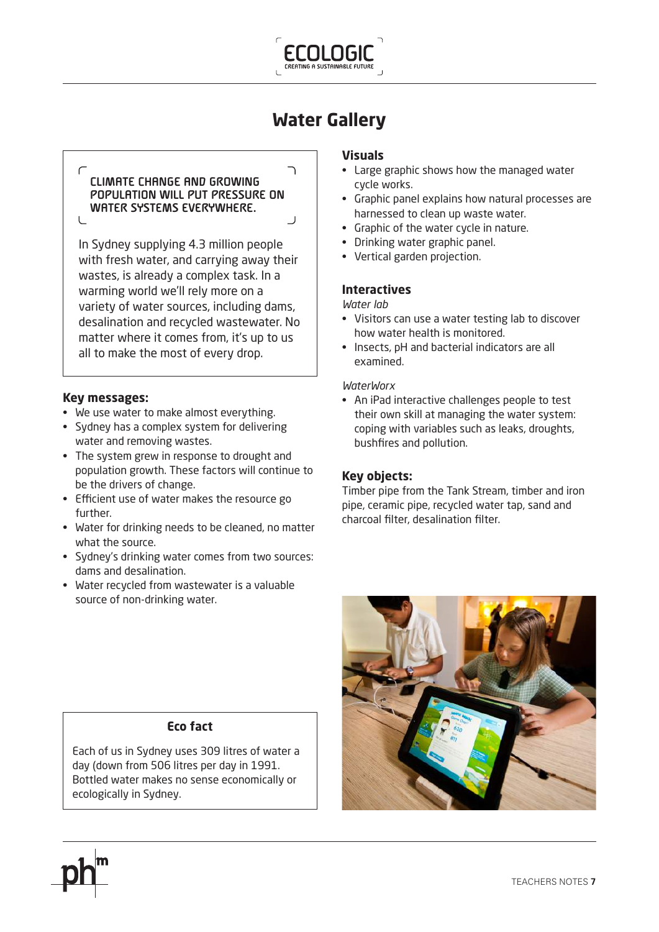

# **Water Gallery**

 $\overline{\phantom{0}}$ 

#### **CLIMATE CHANGE AND GROWING POPULATION WILL PUT PRESSURE ON WATER SYSTEMS EVERYWHERE.**   $\overline{1}$

In Sydney supplying 4.3 million people with fresh water, and carrying away their wastes, is already a complex task. In a warming world we'll rely more on a variety of water sources, including dams, desalination and recycled wastewater. No matter where it comes from, it's up to us all to make the most of every drop.

### **Key messages:**

- We use water to make almost everything.
- Sydney has a complex system for delivering water and removing wastes.
- The system grew in response to drought and population growth. These factors will continue to be the drivers of change.
- Efficient use of water makes the resource go further.
- Water for drinking needs to be cleaned, no matter what the source.
- Sydney's drinking water comes from two sources: dams and desalination.
- Water recycled from wastewater is a valuable source of non-drinking water.

#### **Visuals**

- Large graphic shows how the managed water cycle works.
- Graphic panel explains how natural processes are harnessed to clean up waste water.
- Graphic of the water cycle in nature.
- Drinking water graphic panel.
- Vertical garden projection.

#### **Interactives**

*Water lab*

- Visitors can use a water testing lab to discover how water health is monitored.
- Insects, pH and bacterial indicators are all examined.

#### *WaterWorx*

• An iPad interactive challenges people to test their own skill at managing the water system: coping with variables such as leaks, droughts, bushfires and pollution.

#### **Key objects:**

Timber pipe from the Tank Stream, timber and iron pipe, ceramic pipe, recycled water tap, sand and charcoal filter, desalination filter.



## **Eco fact**

Each of us in Sydney uses 309 litres of water a day (down from 506 litres per day in 1991. Bottled water makes no sense economically or ecologically in Sydney.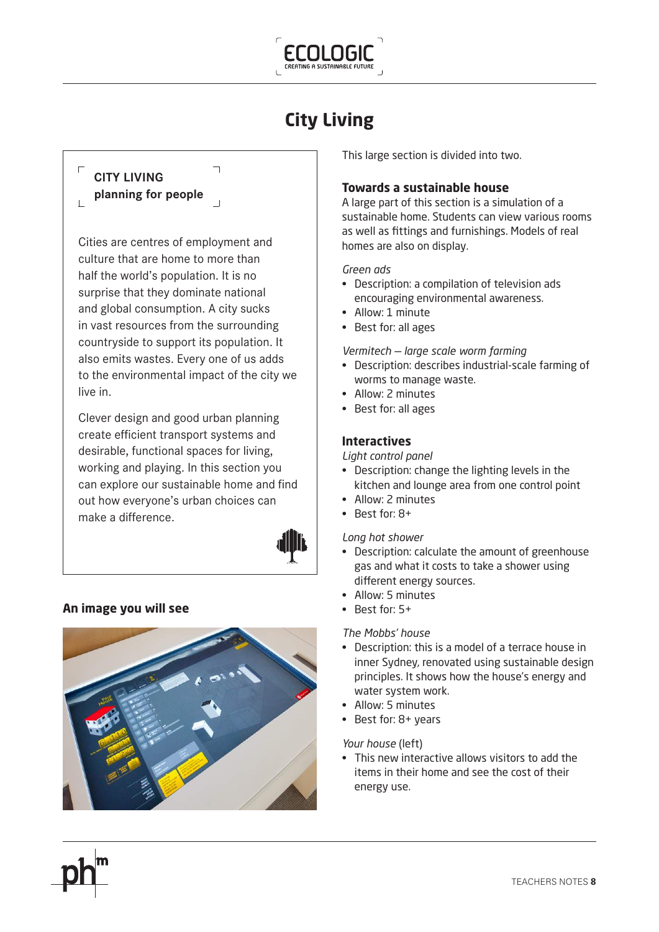

# **City Living**

# **CITY LIVING**

 $\Box$ 

**planning for people**

Cities are centres of employment and culture that are home to more than half the world's population. It is no surprise that they dominate national and global consumption. A city sucks in vast resources from the surrounding countryside to support its population. It also emits wastes. Every one of us adds to the environmental impact of the city we live in.

 $\overline{\phantom{a}}$ 

Clever design and good urban planning create efficient transport systems and desirable, functional spaces for living, working and playing. In this section you can explore our sustainable home and find out how everyone's urban choices can make a difference.



### **An image you will see**



This large section is divided into two.

### **Towards a sustainable house**

A large part of this section is a simulation of a sustainable home. Students can view various rooms as well as fittings and furnishings. Models of real homes are also on display.

#### *Green ads*

- Description: a compilation of television ads encouraging environmental awareness.
- $\bullet$  Allow: 1 minute
- Best for: all ages

#### *Vermitech — large scale worm farming*

- Description: describes industrial-scale farming of worms to manage waste.
- Allow: 2 minutes
- Best for: all ages

### **Interactives**

#### *Light control panel*

- Description: change the lighting levels in the kitchen and lounge area from one control point
- Allow: 2 minutes
- $\cdot$  Best for: 8+

#### *Long hot shower*

- Description: calculate the amount of greenhouse gas and what it costs to take a shower using different energy sources.
- Allow: 5 minutes
- $\cdot$  Best for:  $5+$

#### *The Mobbs' house*

- Description: this is a model of a terrace house in inner Sydney, renovated using sustainable design principles. It shows how the house's energy and water system work.
- Allow: 5 minutes
- $\cdot$  Best for: 8+ years

#### *Your house* (left)

• This new interactive allows visitors to add the items in their home and see the cost of their energy use.

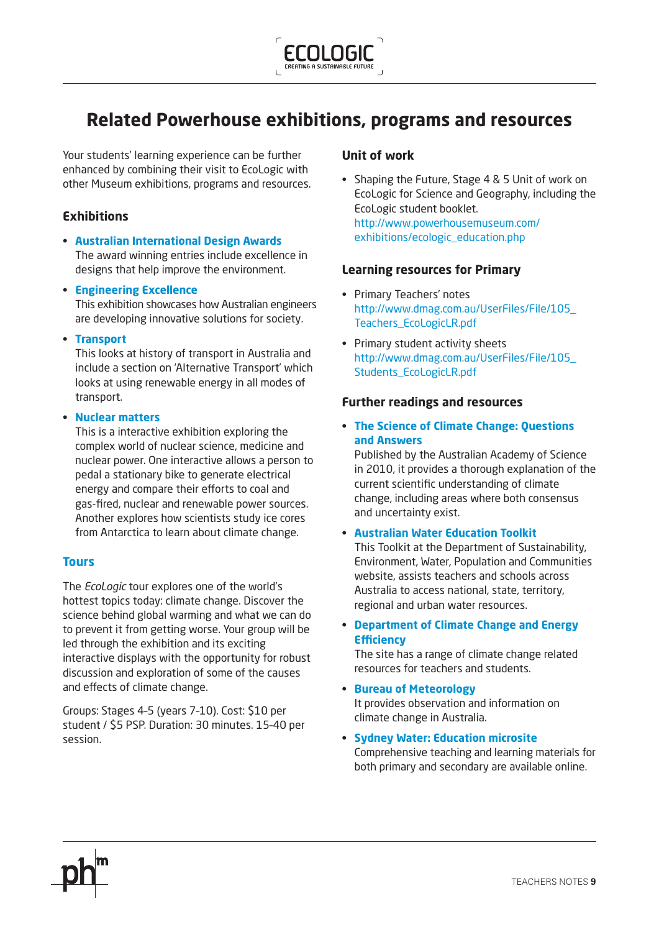

# **Related Powerhouse exhibitions, programs and resources**

Your students' learning experience can be further enhanced by combining their visit to EcoLogic with other Museum exhibitions, programs and resources.

## **Exhibitions**

- **t [Australian International Design Awards](http://www.powerhousemuseum.com/exhibitions/design_awards.php)** The award winning entries include excellence in designs that help improve the environment.
- **t [Engineering Excellence](http://www.powerhousemuseum.com/engineeringexcellence/)** This exhibition showcases how Australian engineers are developing innovative solutions for society.
- **t [Transport](http://www.powerhousemuseum.com/exhibitions/transport.php)**

This looks at history of transport in Australia and include a section on 'Alternative Transport' which looks at using renewable energy in all modes of transport.

#### **t [Nuclear matters](http://www.powerhousemuseum.com/exhibitions/nuclear.php)**

This is a interactive exhibition exploring the complex world of nuclear science, medicine and nuclear power. One interactive allows a person to pedal a stationary bike to generate electrical energy and compare their efforts to coal and gas-fired, nuclear and renewable power sources. Another explores how scientists study ice cores from Antarctica to learn about climate change.

#### **[Tours](http://www.powerhousemuseum.com/education/)**

The *EcoLogic* tour explores one of the world's hottest topics today: climate change. Discover the science behind global warming and what we can do to prevent it from getting worse. Your group will be led through the exhibition and its exciting interactive displays with the opportunity for robust discussion and exploration of some of the causes and effects of climate change.

Groups: Stages 4-5 (years 7-10). Cost: \$10 per student / \$5 PSP. Duration: 30 minutes. 15-40 per session.

### **Unit of work**

• Shaping the Future, Stage  $4 & 5$  Unit of work on EcoLogic for Science and Geography, including the EcoLogic student booklet. [http://www.powerhousemuseum.com/](http://www.powerhousemuseum.com/exhibitions/ecologic_education.php) [exhibitions/ecologic\\_education.php](http://www.powerhousemuseum.com/exhibitions/ecologic_education.php)

### **Learning resources for Primary**

- Primary Teachers' notes http://www.dmag.com.au/UserFiles/File/105\_ [Teachers\\_EcoLogicLR.pdf](http://www.dmag.com.au/UserFiles/File/105_Teachers_EcoLogicLR.pdf)
- Primary student activity sheets http://www.dmag.com.au/UserFiles/File/105 Students EcoLogicLR.pdf

### **Further readings and resources**

**t [The Science of Climate Change: Questions](http://www.science.org.au/policy/climatechange.html)  [and Answers](http://www.science.org.au/policy/climatechange.html)**

Published by the Australian Academy of Science in 2010, it provides a thorough explanation of the current scientific understanding of climate change, including areas where both consensus and uncertainty exist.

#### **t [Australian Water Education Toolkit](http://www.environment.gov.au/water/education/)**

This Toolkit at the Department of Sustainability, Environment, Water, Population and Communities website, assists teachers and schools across Australia to access national, state, territory, regional and urban water resources.

#### **t [Department of Climate Change and Energy](http://www.climatechange.gov.au/what-you-can-do/community/schools.aspx)  Efficiency**

The site has a range of climate change related resources for teachers and students.

- **t [Bureau of Meteorology](http://www.bom.gov.au/climate/change/)** It provides observation and information on climate change in Australia.
- **t [Sydney Water: Education microsite](http://www.sydneywater.com.au/Education/)** Comprehensive teaching and learning materials for both primary and secondary are available online.